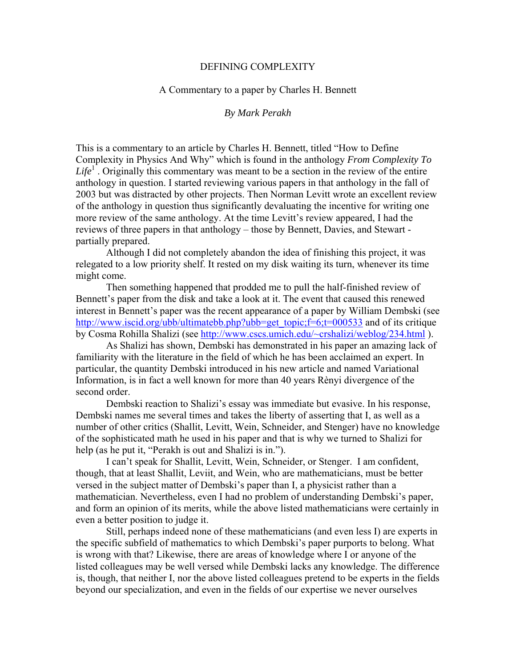### DEFINING COMPLEXITY

## A Commentary to a paper by Charles H. Bennett

# *By Mark Perakh*

This is a commentary to an article by Charles H. Bennett, titled "How to Define Complexity in Physics And Why" which is found in the anthology *From Complexity To*   $Life<sup>1</sup>$ . Originally this commentary was meant to be a section in the review of the entire anthology in question. I started reviewing various papers in that anthology in the fall of 2003 but was distracted by other projects. Then Norman Levitt wrote an excellent review of the anthology in question thus significantly devaluating the incentive for writing one more review of the same anthology. At the time Levitt's review appeared, I had the reviews of three papers in that anthology – those by Bennett, Davies, and Stewart partially prepared.

 Although I did not completely abandon the idea of finishing this project, it was relegated to a low priority shelf. It rested on my disk waiting its turn, whenever its time might come.

 Then something happened that prodded me to pull the half-finished review of Bennett's paper from the disk and take a look at it. The event that caused this renewed interest in Bennett's paper was the recent appearance of a paper by William Dembski (see [http://www.iscid.org/ubb/ultimatebb.php?ubb=get\\_topic;f=6;t=000533](http://www.iscid.org/ubb/ultimatebb.php?ubb=get_topic;f=6;t=000533) and of its critique by Cosma Rohilla Shalizi (see<http://www.cscs.umich.edu/~crshalizi/weblog/234.html>).

 As Shalizi has shown, Dembski has demonstrated in his paper an amazing lack of familiarity with the literature in the field of which he has been acclaimed an expert. In particular, the quantity Dembski introduced in his new article and named Variational Information, is in fact a well known for more than 40 years Rènyi divergence of the second order.

 Dembski reaction to Shalizi's essay was immediate but evasive. In his response, Dembski names me several times and takes the liberty of asserting that I, as well as a number of other critics (Shallit, Levitt, Wein, Schneider, and Stenger) have no knowledge of the sophisticated math he used in his paper and that is why we turned to Shalizi for help (as he put it, "Perakh is out and Shalizi is in.").

 I can't speak for Shallit, Levitt, Wein, Schneider, or Stenger. I am confident, though, that at least Shallit, Leviit, and Wein, who are mathematicians, must be better versed in the subject matter of Dembski's paper than I, a physicist rather than a mathematician. Nevertheless, even I had no problem of understanding Dembski's paper, and form an opinion of its merits, while the above listed mathematicians were certainly in even a better position to judge it.

 Still, perhaps indeed none of these mathematicians (and even less I) are experts in the specific subfield of mathematics to which Dembski's paper purports to belong. What is wrong with that? Likewise, there are areas of knowledge where I or anyone of the listed colleagues may be well versed while Dembski lacks any knowledge. The difference is, though, that neither I, nor the above listed colleagues pretend to be experts in the fields beyond our specialization, and even in the fields of our expertise we never ourselves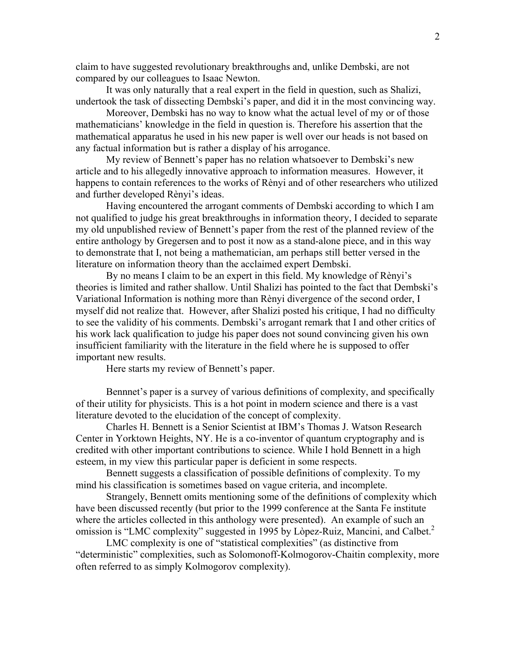claim to have suggested revolutionary breakthroughs and, unlike Dembski, are not compared by our colleagues to Isaac Newton.

 It was only naturally that a real expert in the field in question, such as Shalizi, undertook the task of dissecting Dembski's paper, and did it in the most convincing way.

 Moreover, Dembski has no way to know what the actual level of my or of those mathematicians' knowledge in the field in question is. Therefore his assertion that the mathematical apparatus he used in his new paper is well over our heads is not based on any factual information but is rather a display of his arrogance.

 My review of Bennett's paper has no relation whatsoever to Dembski's new article and to his allegedly innovative approach to information measures. However, it happens to contain references to the works of Rènyi and of other researchers who utilized and further developed Rènyi's ideas.

 Having encountered the arrogant comments of Dembski according to which I am not qualified to judge his great breakthroughs in information theory, I decided to separate my old unpublished review of Bennett's paper from the rest of the planned review of the entire anthology by Gregersen and to post it now as a stand-alone piece, and in this way to demonstrate that I, not being a mathematician, am perhaps still better versed in the literature on information theory than the acclaimed expert Dembski.

 By no means I claim to be an expert in this field. My knowledge of Rènyi's theories is limited and rather shallow. Until Shalizi has pointed to the fact that Dembski's Variational Information is nothing more than Rènyi divergence of the second order, I myself did not realize that. However, after Shalizi posted his critique, I had no difficulty to see the validity of his comments. Dembski's arrogant remark that I and other critics of his work lack qualification to judge his paper does not sound convincing given his own insufficient familiarity with the literature in the field where he is supposed to offer important new results.

Here starts my review of Bennett's paper.

 Bennnet's paper is a survey of various definitions of complexity, and specifically of their utility for physicists. This is a hot point in modern science and there is a vast literature devoted to the elucidation of the concept of complexity.

 Charles H. Bennett is a Senior Scientist at IBM's Thomas J. Watson Research Center in Yorktown Heights, NY. He is a co-inventor of quantum cryptography and is credited with other important contributions to science. While I hold Bennett in a high esteem, in my view this particular paper is deficient in some respects.

 Bennett suggests a classification of possible definitions of complexity. To my mind his classification is sometimes based on vague criteria, and incomplete.

 Strangely, Bennett omits mentioning some of the definitions of complexity which have been discussed recently (but prior to the 1999 conference at the Santa Fe institute where the articles collected in this anthology were presented). An example of such an omission is "LMC complexity" suggested in 1995 by Lòpez-Ruiz, Mancini, and Calbet.<sup>2</sup>

 LMC complexity is one of "statistical complexities" (as distinctive from "deterministic" complexities, such as Solomonoff-Kolmogorov-Chaitin complexity, more often referred to as simply Kolmogorov complexity).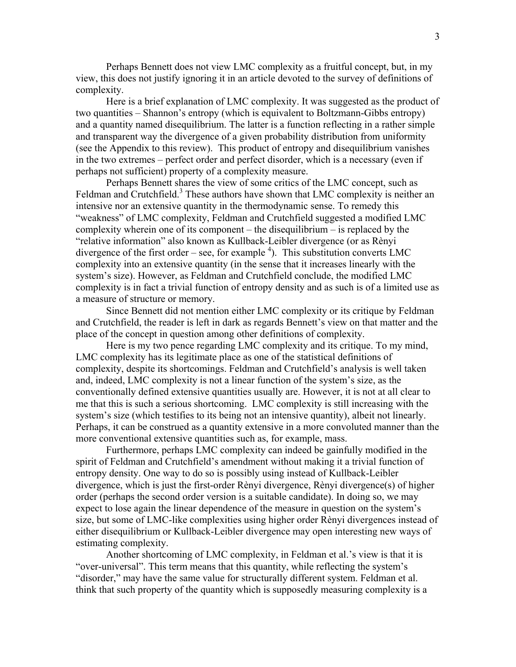Perhaps Bennett does not view LMC complexity as a fruitful concept, but, in my view, this does not justify ignoring it in an article devoted to the survey of definitions of complexity.

 Here is a brief explanation of LMC complexity. It was suggested as the product of two quantities – Shannon's entropy (which is equivalent to Boltzmann-Gibbs entropy) and a quantity named disequilibrium. The latter is a function reflecting in a rather simple and transparent way the divergence of a given probability distribution from uniformity (see the Appendix to this review). This product of entropy and disequilibrium vanishes in the two extremes – perfect order and perfect disorder, which is a necessary (even if perhaps not sufficient) property of a complexity measure.

 Perhaps Bennett shares the view of some critics of the LMC concept, such as Feldman and Crutchfield.<sup>3</sup> These authors have shown that LMC complexity is neither an intensive nor an extensive quantity in the thermodynamic sense. To remedy this "weakness" of LMC complexity, Feldman and Crutchfield suggested a modified LMC complexity wherein one of its component – the disequilibrium – is replaced by the "relative information" also known as Kullback-Leibler divergence (or as Rènyi divergence of the first order – see, for example  $4$ ). This substitution converts LMC complexity into an extensive quantity (in the sense that it increases linearly with the system's size). However, as Feldman and Crutchfield conclude, the modified LMC complexity is in fact a trivial function of entropy density and as such is of a limited use as a measure of structure or memory.

 Since Bennett did not mention either LMC complexity or its critique by Feldman and Crutchfield, the reader is left in dark as regards Bennett's view on that matter and the place of the concept in question among other definitions of complexity.

 Here is my two pence regarding LMC complexity and its critique. To my mind, LMC complexity has its legitimate place as one of the statistical definitions of complexity, despite its shortcomings. Feldman and Crutchfield's analysis is well taken and, indeed, LMC complexity is not a linear function of the system's size, as the conventionally defined extensive quantities usually are. However, it is not at all clear to me that this is such a serious shortcoming. LMC complexity is still increasing with the system's size (which testifies to its being not an intensive quantity), albeit not linearly. Perhaps, it can be construed as a quantity extensive in a more convoluted manner than the more conventional extensive quantities such as, for example, mass.

 Furthermore, perhaps LMC complexity can indeed be gainfully modified in the spirit of Feldman and Crutchfield's amendment without making it a trivial function of entropy density. One way to do so is possibly using instead of Kullback-Leibler divergence, which is just the first-order Rènyi divergence, Rènyi divergence(s) of higher order (perhaps the second order version is a suitable candidate). In doing so, we may expect to lose again the linear dependence of the measure in question on the system's size, but some of LMC-like complexities using higher order Rènyi divergences instead of either disequilibrium or Kullback-Leibler divergence may open interesting new ways of estimating complexity.

 Another shortcoming of LMC complexity, in Feldman et al.'s view is that it is "over-universal". This term means that this quantity, while reflecting the system's "disorder," may have the same value for structurally different system. Feldman et al. think that such property of the quantity which is supposedly measuring complexity is a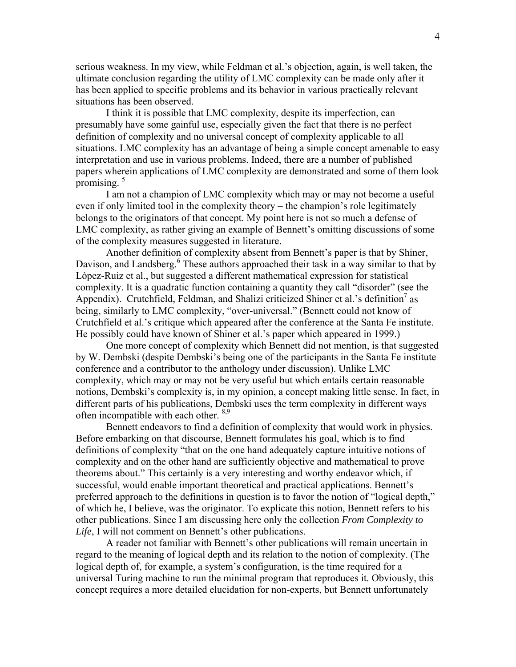serious weakness. In my view, while Feldman et al.'s objection, again, is well taken, the ultimate conclusion regarding the utility of LMC complexity can be made only after it has been applied to specific problems and its behavior in various practically relevant situations has been observed.

 I think it is possible that LMC complexity, despite its imperfection, can presumably have some gainful use, especially given the fact that there is no perfect definition of complexity and no universal concept of complexity applicable to all situations. LMC complexity has an advantage of being a simple concept amenable to easy interpretation and use in various problems. Indeed, there are a number of published papers wherein applications of LMC complexity are demonstrated and some of them look promising.  $5$ 

 I am not a champion of LMC complexity which may or may not become a useful even if only limited tool in the complexity theory – the champion's role legitimately belongs to the originators of that concept. My point here is not so much a defense of LMC complexity, as rather giving an example of Bennett's omitting discussions of some of the complexity measures suggested in literature.

 Another definition of complexity absent from Bennett's paper is that by Shiner, Davison, and Landsberg.<sup>6</sup> These authors approached their task in a way similar to that by Lòpez-Ruiz et al., but suggested a different mathematical expression for statistical complexity. It is a quadratic function containing a quantity they call "disorder" (see the Appendix). Crutchfield, Feldman, and Shalizi criticized Shiner et al.'s definition<sup>7</sup> as being, similarly to LMC complexity, "over-universal." (Bennett could not know of Crutchfield et al.'s critique which appeared after the conference at the Santa Fe institute. He possibly could have known of Shiner et al.'s paper which appeared in 1999.)

 One more concept of complexity which Bennett did not mention, is that suggested by W. Dembski (despite Dembski's being one of the participants in the Santa Fe institute conference and a contributor to the anthology under discussion). Unlike LMC complexity, which may or may not be very useful but which entails certain reasonable notions, Dembski's complexity is, in my opinion, a concept making little sense. In fact, in different parts of his publications, Dembski uses the term complexity in different ways often incompatible with each other. 8,9

 Bennett endeavors to find a definition of complexity that would work in physics. Before embarking on that discourse, Bennett formulates his goal, which is to find definitions of complexity "that on the one hand adequately capture intuitive notions of complexity and on the other hand are sufficiently objective and mathematical to prove theorems about." This certainly is a very interesting and worthy endeavor which, if successful, would enable important theoretical and practical applications. Bennett's preferred approach to the definitions in question is to favor the notion of "logical depth," of which he, I believe, was the originator. To explicate this notion, Bennett refers to his other publications. Since I am discussing here only the collection *From Complexity to Life*, I will not comment on Bennett's other publications.

 A reader not familiar with Bennett's other publications will remain uncertain in regard to the meaning of logical depth and its relation to the notion of complexity. (The logical depth of, for example, a system's configuration, is the time required for a universal Turing machine to run the minimal program that reproduces it. Obviously, this concept requires a more detailed elucidation for non-experts, but Bennett unfortunately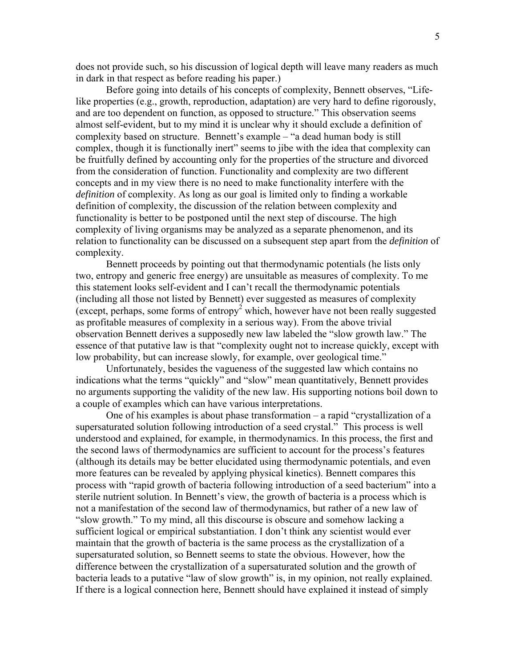does not provide such, so his discussion of logical depth will leave many readers as much in dark in that respect as before reading his paper.)

 Before going into details of his concepts of complexity, Bennett observes, "Lifelike properties (e.g., growth, reproduction, adaptation) are very hard to define rigorously, and are too dependent on function, as opposed to structure." This observation seems almost self-evident, but to my mind it is unclear why it should exclude a definition of complexity based on structure. Bennett's example – "a dead human body is still complex, though it is functionally inert" seems to jibe with the idea that complexity can be fruitfully defined by accounting only for the properties of the structure and divorced from the consideration of function. Functionality and complexity are two different concepts and in my view there is no need to make functionality interfere with the *definition* of complexity. As long as our goal is limited only to finding a workable definition of complexity, the discussion of the relation between complexity and functionality is better to be postponed until the next step of discourse. The high complexity of living organisms may be analyzed as a separate phenomenon, and its relation to functionality can be discussed on a subsequent step apart from the *definition* of complexity.

 Bennett proceeds by pointing out that thermodynamic potentials (he lists only two, entropy and generic free energy) are unsuitable as measures of complexity. To me this statement looks self-evident and I can't recall the thermodynamic potentials (including all those not listed by Bennett) ever suggested as measures of complexity (except, perhaps, some forms of entropy<sup>2</sup> which, however have not been really suggested as profitable measures of complexity in a serious way). From the above trivial observation Bennett derives a supposedly new law labeled the "slow growth law." The essence of that putative law is that "complexity ought not to increase quickly, except with low probability, but can increase slowly, for example, over geological time."

 Unfortunately, besides the vagueness of the suggested law which contains no indications what the terms "quickly" and "slow" mean quantitatively, Bennett provides no arguments supporting the validity of the new law. His supporting notions boil down to a couple of examples which can have various interpretations.

 One of his examples is about phase transformation – a rapid "crystallization of a supersaturated solution following introduction of a seed crystal." This process is well understood and explained, for example, in thermodynamics. In this process, the first and the second laws of thermodynamics are sufficient to account for the process's features (although its details may be better elucidated using thermodynamic potentials, and even more features can be revealed by applying physical kinetics). Bennett compares this process with "rapid growth of bacteria following introduction of a seed bacterium" into a sterile nutrient solution. In Bennett's view, the growth of bacteria is a process which is not a manifestation of the second law of thermodynamics, but rather of a new law of "slow growth." To my mind, all this discourse is obscure and somehow lacking a sufficient logical or empirical substantiation. I don't think any scientist would ever maintain that the growth of bacteria is the same process as the crystallization of a supersaturated solution, so Bennett seems to state the obvious. However, how the difference between the crystallization of a supersaturated solution and the growth of bacteria leads to a putative "law of slow growth" is, in my opinion, not really explained. If there is a logical connection here, Bennett should have explained it instead of simply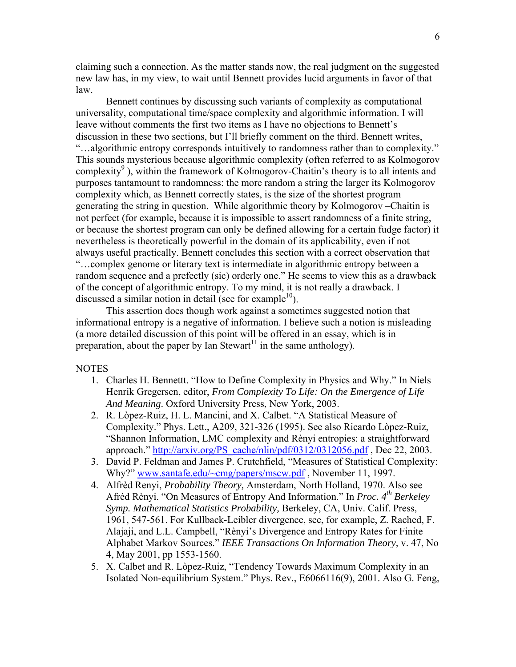claiming such a connection. As the matter stands now, the real judgment on the suggested new law has, in my view, to wait until Bennett provides lucid arguments in favor of that law.

 Bennett continues by discussing such variants of complexity as computational universality, computational time/space complexity and algorithmic information. I will leave without comments the first two items as I have no objections to Bennett's discussion in these two sections, but I'll briefly comment on the third. Bennett writes, "…algorithmic entropy corresponds intuitively to randomness rather than to complexity." This sounds mysterious because algorithmic complexity (often referred to as Kolmogorov complexity<sup>9</sup>), within the framework of Kolmogorov-Chaitin's theory is to all intents and purposes tantamount to randomness: the more random a string the larger its Kolmogorov complexity which, as Bennett correctly states, is the size of the shortest program generating the string in question. While algorithmic theory by Kolmogorov –Chaitin is not perfect (for example, because it is impossible to assert randomness of a finite string, or because the shortest program can only be defined allowing for a certain fudge factor) it nevertheless is theoretically powerful in the domain of its applicability, even if not always useful practically. Bennett concludes this section with a correct observation that "…complex genome or literary text is intermediate in algorithmic entropy between a random sequence and a prefectly (sic) orderly one." He seems to view this as a drawback of the concept of algorithmic entropy. To my mind, it is not really a drawback. I discussed a similar notion in detail (see for example<sup>10</sup>).

 This assertion does though work against a sometimes suggested notion that informational entropy is a negative of information. I believe such a notion is misleading (a more detailed discussion of this point will be offered in an essay, which is in preparation, about the paper by Ian Stewart<sup>11</sup> in the same anthology).

#### **NOTES**

- 1. Charles H. Bennettt. "How to Define Complexity in Physics and Why." In Niels Henrik Gregersen, editor, *From Complexity To Life: On the Emergence of Life And Meaning*. Oxford University Press, New York, 2003.
- 2. R. Lòpez-Ruiz, H. L. Mancini, and X. Calbet. "A Statistical Measure of Complexity." Phys. Lett., A209, 321-326 (1995). See also Ricardo Lòpez-Ruiz, "Shannon Information, LMC complexity and Rènyi entropies: a straightforward approach." http://arxiv.org/PS\_cache/nlin/pdf/0312/0312056.pdf, Dec 22, 2003.
- 3. David P. Feldman and James P. Crutchfield, "Measures of Statistical Complexity: Why?" www.santafe.edu/~cmg/papers/mscw.pdf, November 11, 1997.
- 4. Alfrèd Renyi, *Probability Theory,* Amsterdam, North Holland, 1970. Also see Afrèd Rènyi. "On Measures of Entropy And Information." In *Proc. 4th Berkeley Symp. Mathematical Statistics Probability,* Berkeley, CA, Univ. Calif. Press, 1961, 547-561. For Kullback-Leibler divergence, see, for example, Z. Rached, F. Alajaji, and L.L. Campbell, "Rènyi's Divergence and Entropy Rates for Finite Alphabet Markov Sources." *IEEE Transactions On Information Theory,* v. 47, No 4, May 2001, pp 1553-1560.
- 5. X. Calbet and R. Lòpez-Ruiz, "Tendency Towards Maximum Complexity in an Isolated Non-equilibrium System." Phys. Rev., E6066116(9), 2001. Also G. Feng,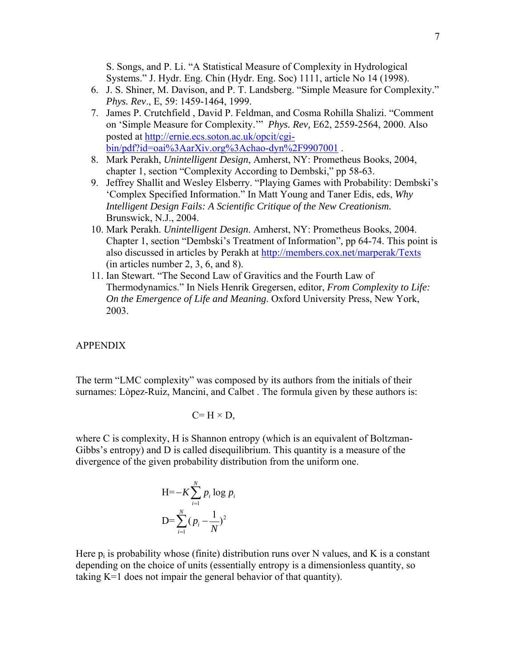S. Songs, and P. Li. "A Statistical Measure of Complexity in Hydrological Systems." J. Hydr. Eng. Chin (Hydr. Eng. Soc) 1111, article No 14 (1998).

- 6. J. S. Shiner, M. Davison, and P. T. Landsberg. "Simple Measure for Complexity." *Phys. Rev*., E, 59: 1459-1464, 1999.
- 7. James P. Crutchfield , David P. Feldman, and Cosma Rohilla Shalizi. "Comment on 'Simple Measure for Complexity.'" *Phys. Rev,* E62, 2559-2564, 2000. Also posted at [http://ernie.ecs.soton.ac.uk/opcit/cgi](http://ernie.ecs.soton.ac.uk/opcit/cgi-bin/pdf?id=oai%3AarXiv.org%3Achao-dyn%2F9907001)[bin/pdf?id=oai%3AarXiv.org%3Achao-dyn%2F9907001](http://ernie.ecs.soton.ac.uk/opcit/cgi-bin/pdf?id=oai%3AarXiv.org%3Achao-dyn%2F9907001) .
- 8. Mark Perakh, *Unintelligent Design*, Amherst, NY: Prometheus Books, 2004, chapter 1, section "Complexity According to Dembski," pp 58-63.
- 9. Jeffrey Shallit and Wesley Elsberry. "Playing Games with Probability: Dembski's 'Complex Specified Information." In Matt Young and Taner Edis, eds, *Why Intelligent Design Fails: A Scientific Critique of the New Creationism.* Brunswick, N.J., 2004.
- 10. Mark Perakh. *Unintelligent Design*. Amherst, NY: Prometheus Books, 2004. Chapter 1, section "Dembski's Treatment of Information", pp 64-74. This point is also discussed in articles by Perakh at<http://members.cox.net/marperak/Texts> (in articles number 2, 3, 6, and 8).
- 11. Ian Stewart. "The Second Law of Gravitics and the Fourth Law of Thermodynamics." In Niels Henrik Gregersen, editor, *From Complexity to Life: On the Emergence of Life and Meaning*. Oxford University Press, New York, 2003.

# APPENDIX

The term "LMC complexity" was composed by its authors from the initials of their surnames: Lòpez-Ruiz, Mancini, and Calbet . The formula given by these authors is:

$$
C=H\times D,
$$

where C is complexity, H is Shannon entropy (which is an equivalent of Boltzman-Gibbs's entropy) and D is called disequilibrium. This quantity is a measure of the divergence of the given probability distribution from the uniform one.

$$
H=-K\sum_{i=1}^{N} p_i \log p_i
$$

$$
D=\sum_{i=1}^{N} (p_i-\frac{1}{N})^2
$$

Here  $p_i$  is probability whose (finite) distribution runs over N values, and K is a constant depending on the choice of units (essentially entropy is a dimensionless quantity, so taking K=1 does not impair the general behavior of that quantity).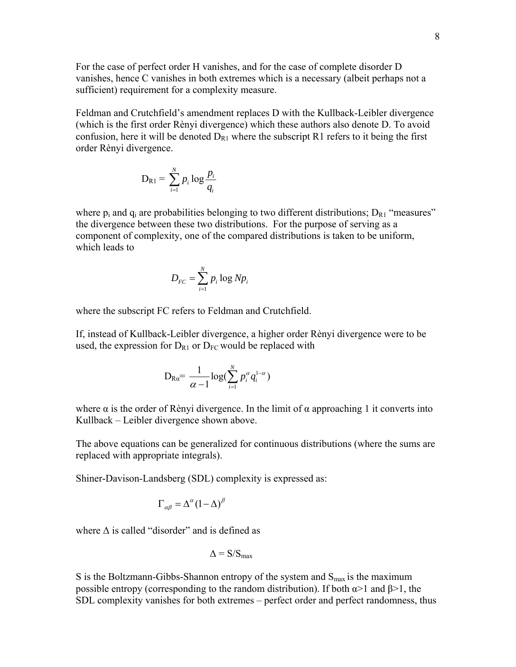For the case of perfect order H vanishes, and for the case of complete disorder D vanishes, hence C vanishes in both extremes which is a necessary (albeit perhaps not a sufficient) requirement for a complexity measure.

Feldman and Crutchfield's amendment replaces D with the Kullback-Leibler divergence (which is the first order Rènyi divergence) which these authors also denote D. To avoid confusion, here it will be denoted  $D_{R1}$  where the subscript R1 refers to it being the first order Rènyi divergence.

$$
D_{R1} = \sum_{i=1}^{N} p_i \log \frac{p_i}{q_i}
$$

where  $p_i$  and  $q_i$  are probabilities belonging to two different distributions;  $D_{R1}$  "measures" the divergence between these two distributions. For the purpose of serving as a component of complexity, one of the compared distributions is taken to be uniform, which leads to

$$
D_{FC} = \sum_{i=1}^{N} p_i \log N p_i
$$

where the subscript FC refers to Feldman and Crutchfield.

If, instead of Kullback-Leibler divergence, a higher order Rènyi divergence were to be used, the expression for  $D_{R1}$  or  $D_{FC}$  would be replaced with

$$
\mathrm{D}_{\mathrm{R}a} \!\!= \frac{1}{\alpha \!-\! 1}\!\log(\sum_{i=1}^{N}p_{i}^{\alpha}q_{i}^{1-\alpha})
$$

where  $\alpha$  is the order of Rènyi divergence. In the limit of  $\alpha$  approaching 1 it converts into Kullback – Leibler divergence shown above.

The above equations can be generalized for continuous distributions (where the sums are replaced with appropriate integrals).

Shiner-Davison-Landsberg (SDL) complexity is expressed as:

$$
\Gamma_{\alpha\beta} = \Delta^{\alpha} (1 - \Delta)^{\beta}
$$

where  $\Delta$  is called "disorder" and is defined as

$$
\Delta = S/S_{\text{max}}
$$

S is the Boltzmann-Gibbs-Shannon entropy of the system and  $S_{\text{max}}$  is the maximum possible entropy (corresponding to the random distribution). If both  $\alpha > 1$  and  $\beta > 1$ , the SDL complexity vanishes for both extremes – perfect order and perfect randomness, thus